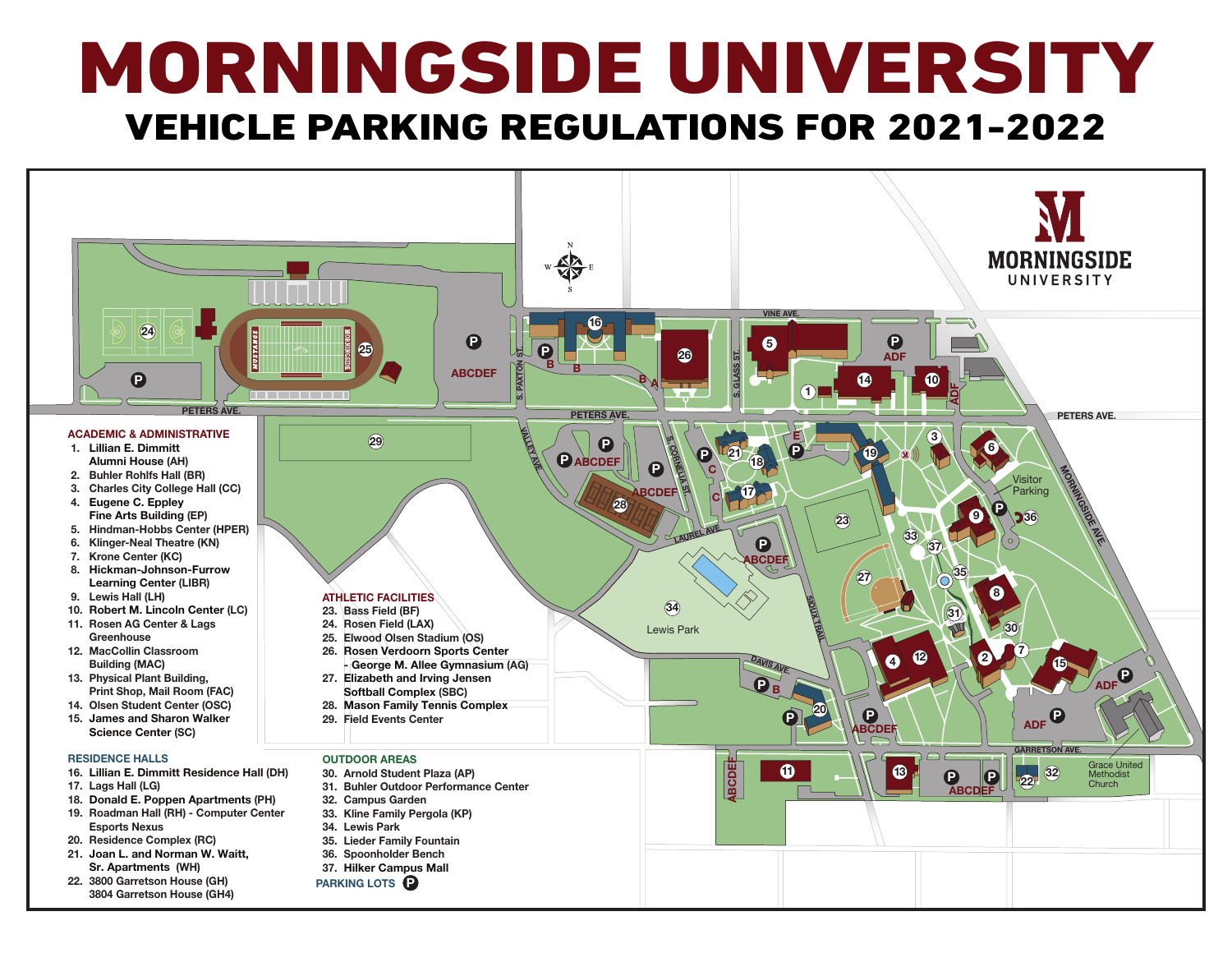# MORNINGSIDE UNIVERSITY VEHICLE PARKING REGULATIONS FOR 2021-2022